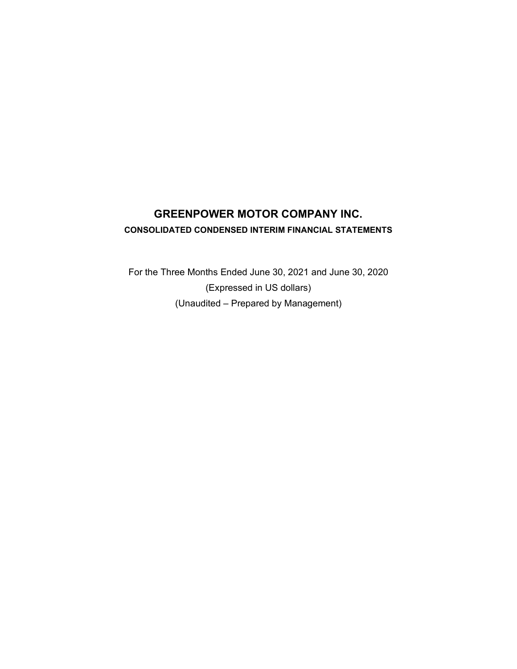# **GREENPOWER MOTOR COMPANY INC. CONSOLIDATED CONDENSED INTERIM FINANCIAL STATEMENTS**

For the Three Months Ended June 30, 2021 and June 30, 2020 (Expressed in US dollars) (Unaudited – Prepared by Management)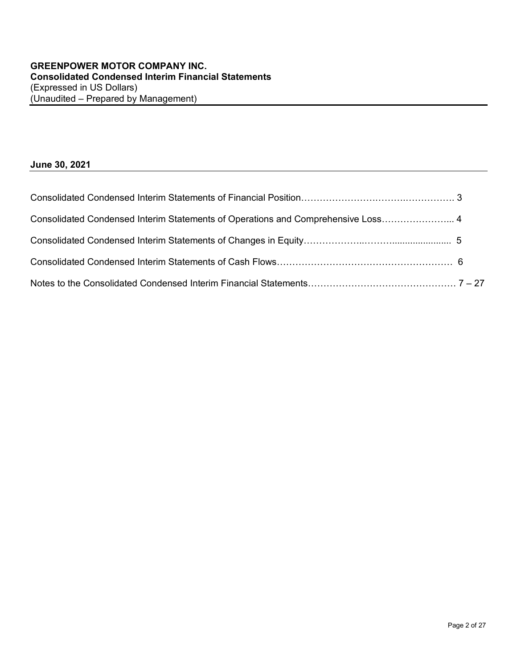# **June 30, 2021**

| Consolidated Condensed Interim Statements of Operations and Comprehensive Loss 4 |  |
|----------------------------------------------------------------------------------|--|
|                                                                                  |  |
|                                                                                  |  |
|                                                                                  |  |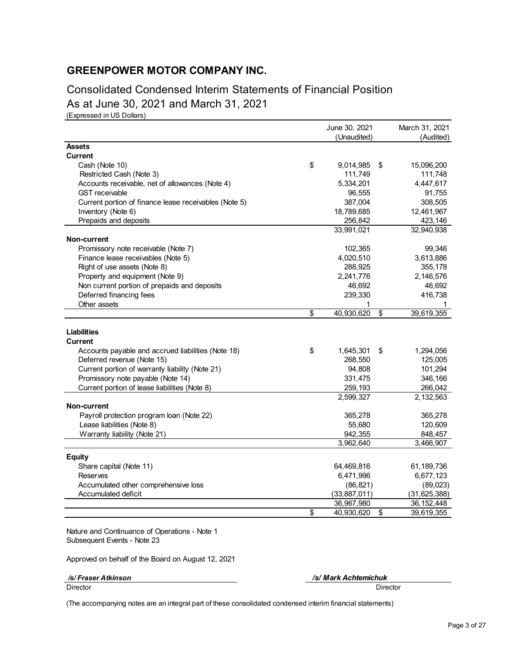Consolidated Condensed Interim Statements of Financial Position As at June 30, 2021 and March 31, 2021

(Expressed in US Dollars)

|                                                       | June 30, 2021    |    | March 31, 2021 |
|-------------------------------------------------------|------------------|----|----------------|
|                                                       | (Unaudited)      |    | (Audited)      |
| <b>Assets</b>                                         |                  |    |                |
| <b>Current</b>                                        |                  |    |                |
| Cash (Note 10)                                        | \$<br>9,014,985  | \$ | 15,096,200     |
| Restricted Cash (Note 3)                              | 111,749          |    | 111,748        |
| Accounts receivable, net of allowances (Note 4)       | 5,334,201        |    | 4,447,617      |
| <b>GST</b> receivable                                 | 96,555           |    | 91,755         |
| Current portion of finance lease receivables (Note 5) | 387,004          |    | 308,505        |
| Inventory (Note 6)                                    | 18,789,685       |    | 12,461,967     |
| Prepaids and deposits                                 | 256,842          |    | 423,146        |
|                                                       | 33,991,021       |    | 32,940,938     |
| Non-current                                           |                  |    |                |
| Promissory note receivable (Note 7)                   | 102,365          |    | 99,346         |
| Finance lease receivables (Note 5)                    | 4,020,510        |    | 3,613,886      |
| Right of use assets (Note 8)                          | 288,925          |    | 355,178        |
| Property and equipment (Note 9)                       | 2,241,776        |    | 2,146,576      |
| Non current portion of prepaids and deposits          | 46,692           |    | 46,692         |
| Deferred financing fees                               | 239,330          |    | 416,738        |
| Other assets                                          | 1                |    | 1              |
|                                                       | \$<br>40,930,620 | \$ | 39,619,355     |
|                                                       |                  |    |                |
| <b>Liabilities</b>                                    |                  |    |                |
| <b>Current</b>                                        |                  |    |                |
| Accounts payable and accrued liabilities (Note 18)    | \$<br>1,645,301  | S  | 1,294,056      |
| Deferred revenue (Note 15)                            | 268,550          |    | 125,005        |
| Current portion of warranty liability (Note 21)       | 94,808           |    | 101,294        |
| Promissory note payable (Note 14)                     | 331,475          |    | 346,166        |
| Current portion of lease liabilities (Note 8)         | 259,193          |    | 266,042        |
|                                                       | 2,599,327        |    | 2,132,563      |
| Non-current                                           |                  |    |                |
| Payroll protection program loan (Note 22)             | 365,278          |    | 365,278        |
| Lease liabilities (Note 8)                            | 55,680           |    | 120,609        |
| Warranty liability (Note 21)                          | 942,355          |    | 848,457        |
|                                                       | 3,962,640        |    | 3,466,907      |
| <b>Equity</b>                                         |                  |    |                |
| Share capital (Note 11)                               | 64,469,816       |    | 61,189,736     |
| <b>Reserves</b>                                       | 6,471,996        |    | 6,677,123      |
| Accumulated other comprehensive loss                  | (86, 821)        |    | (89, 023)      |
| Accumulated deficit                                   | (33, 887, 011)   |    | (31, 625, 388) |
|                                                       | 36,967,980       |    | 36, 152, 448   |
|                                                       | \$<br>40,930,620 | \$ | 39,619,355     |

Nature and Continuance of Operations - Note 1 Subsequent Events - Note 23

Approved on behalf of the Board on August 12, 2021

 */s/ Fraser Atkinson /s/ Mark Achtemichuk*

Director Director

(The accompanying notes are an integral part of these consolidated condensed interim financial statements)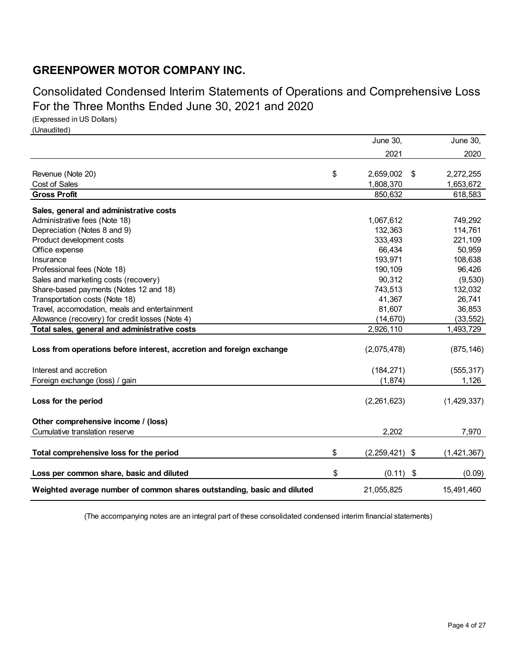Consolidated Condensed Interim Statements of Operations and Comprehensive Loss For the Three Months Ended June 30, 2021 and 2020

(Expressed in US Dollars) (Unaudited)

|                                                                         | <b>June 30,</b>         | June 30,    |
|-------------------------------------------------------------------------|-------------------------|-------------|
|                                                                         | 2021                    | 2020        |
|                                                                         |                         |             |
| Revenue (Note 20)                                                       | \$<br>2,659,002<br>\$   | 2,272,255   |
| Cost of Sales                                                           | 1,808,370               | 1,653,672   |
| <b>Gross Profit</b>                                                     | 850,632                 | 618,583     |
| Sales, general and administrative costs                                 |                         |             |
| Administrative fees (Note 18)                                           | 1,067,612               | 749,292     |
| Depreciation (Notes 8 and 9)                                            | 132,363                 | 114,761     |
| Product development costs                                               | 333,493                 | 221,109     |
| Office expense                                                          | 66,434                  | 50,959      |
| Insurance                                                               | 193,971                 | 108,638     |
| Professional fees (Note 18)                                             | 190,109                 | 96,426      |
| Sales and marketing costs (recovery)                                    | 90,312                  | (9,530)     |
| Share-based payments (Notes 12 and 18)                                  | 743,513                 | 132,032     |
| Transportation costs (Note 18)                                          | 41,367                  | 26,741      |
| Travel, accomodation, meals and entertainment                           | 81,607                  | 36,853      |
| Allowance (recovery) for credit losses (Note 4)                         | (14, 670)               | (33, 552)   |
| Total sales, general and administrative costs                           | 2,926,110               | 1,493,729   |
|                                                                         |                         |             |
| Loss from operations before interest, accretion and foreign exchange    | (2,075,478)             | (875, 146)  |
| Interest and accretion                                                  | (184, 271)              | (555, 317)  |
| Foreign exchange (loss) / gain                                          | (1,874)                 | 1,126       |
|                                                                         |                         |             |
| Loss for the period                                                     | (2,261,623)             | (1,429,337) |
|                                                                         |                         |             |
| Other comprehensive income / (loss)                                     |                         |             |
| Cumulative translation reserve                                          | 2,202                   | 7,970       |
|                                                                         |                         |             |
| Total comprehensive loss for the period                                 | \$<br>(2,259,421)<br>\$ | (1,421,367) |
| Loss per common share, basic and diluted                                | \$<br>(0.11)<br>\$      | (0.09)      |
|                                                                         |                         |             |
| Weighted average number of common shares outstanding, basic and diluted | 21,055,825              | 15,491,460  |

(The accompanying notes are an integral part of these consolidated condensed interim financial statements)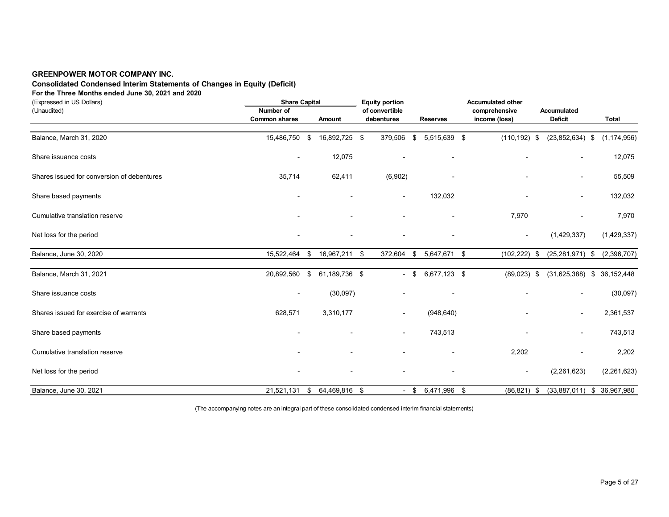# **Consolidated Condensed Interim Statements of Changes in Equity (Deficit)**

**For the Three Months ended June 30, 2021 and 2020**

| (Expressed in US Dollars)                  |                          | <b>Share Capital</b> |               |  | <b>Equity portion</b>    |        |                     | <b>Accumulated other</b> |                          |                              |
|--------------------------------------------|--------------------------|----------------------|---------------|--|--------------------------|--------|---------------------|--------------------------|--------------------------|------------------------------|
| (Unaudited)                                | Number of                |                      |               |  | of convertible           |        |                     | comprehensive            | Accumulated              |                              |
|                                            | <b>Common shares</b>     |                      | Amount        |  | debentures               |        | <b>Reserves</b>     | income (loss)            | <b>Deficit</b>           | <b>Total</b>                 |
| Balance, March 31, 2020                    | 15,486,750 \$            |                      | 16,892,725 \$ |  | 379,506                  | \$     | 5,515,639 \$        | $(110, 192)$ \$          | $(23,852,634)$ \$        | (1, 174, 956)                |
| Share issuance costs                       | $\overline{\phantom{a}}$ |                      | 12,075        |  |                          |        |                     |                          |                          | 12,075                       |
| Shares issued for conversion of debentures | 35,714                   |                      | 62,411        |  | (6,902)                  |        |                     |                          | $\overline{\phantom{a}}$ | 55,509                       |
| Share based payments                       |                          |                      |               |  | $\overline{\phantom{a}}$ |        | 132,032             |                          | $\sim$                   | 132,032                      |
| Cumulative translation reserve             |                          |                      |               |  |                          |        |                     | 7,970                    |                          | 7,970                        |
| Net loss for the period                    |                          |                      |               |  |                          |        |                     |                          | (1,429,337)              | (1,429,337)                  |
| Balance, June 30, 2020                     | 15,522,464               | -\$                  | 16,967,211 \$ |  | 372,604                  | \$     | 5,647,671 \$        | $(102, 222)$ \$          | $(25, 281, 971)$ \$      | (2,396,707)                  |
| Balance, March 31, 2021                    | 20,892,560 \$            |                      | 61,189,736 \$ |  |                          | $-$ \$ | 6,677,123 \$        | $(89,023)$ \$            | $(31,625,388)$ \$        | 36,152,448                   |
| Share issuance costs                       |                          |                      | (30,097)      |  |                          |        |                     |                          |                          | (30,097)                     |
| Shares issued for exercise of warrants     | 628,571                  |                      | 3,310,177     |  |                          |        | (948, 640)          |                          | $\blacksquare$           | 2,361,537                    |
| Share based payments                       |                          |                      |               |  |                          |        | 743,513             |                          | $\overline{\phantom{a}}$ | 743,513                      |
| Cumulative translation reserve             |                          |                      |               |  |                          |        |                     | 2,202                    |                          | 2,202                        |
| Net loss for the period                    |                          |                      |               |  |                          |        |                     |                          | (2,261,623)              | (2,261,623)                  |
| Balance, June 30, 2021                     | 21,521,131 \$            |                      | 64,469,816 \$ |  |                          |        | $-$ \$ 6,471,996 \$ | $(86, 821)$ \$           |                          | $(33,887,011)$ \$ 36,967,980 |

(The accompanying notes are an integral part of these consolidated condensed interim financial statements)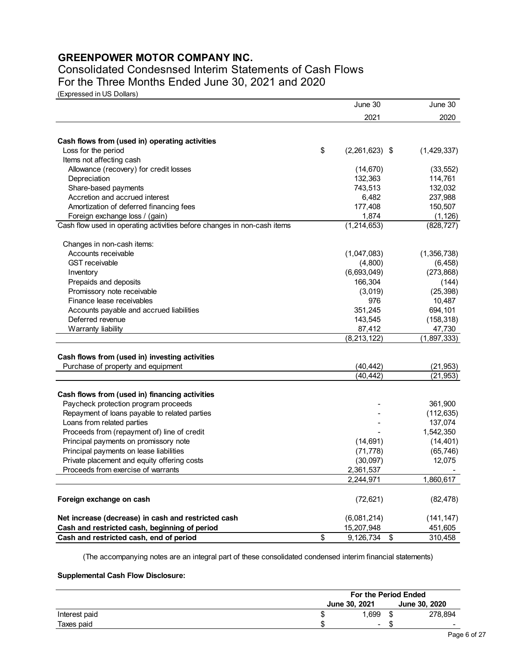# Consolidated Condesnsed Interim Statements of Cash Flows For the Three Months Ended June 30, 2021 and 2020

(Expressed in US Dollars)

|                                                                                      | June 30                | June 30     |
|--------------------------------------------------------------------------------------|------------------------|-------------|
|                                                                                      | 2021                   | 2020        |
|                                                                                      |                        |             |
| Cash flows from (used in) operating activities                                       |                        |             |
| Loss for the period                                                                  | \$<br>$(2,261,623)$ \$ | (1,429,337) |
| Items not affecting cash                                                             |                        |             |
| Allowance (recovery) for credit losses                                               | (14, 670)              | (33, 552)   |
| Depreciation                                                                         | 132,363                | 114,761     |
| Share-based payments                                                                 | 743,513                | 132,032     |
| Accretion and accrued interest                                                       | 6,482                  | 237,988     |
| Amortization of deferred financing fees                                              | 177,408                | 150,507     |
| Foreign exchange loss / (gain)                                                       | 1,874                  | (1, 126)    |
| Cash flow used in operating activities before changes in non-cash items              | (1, 214, 653)          | (828, 727)  |
| Changes in non-cash items:                                                           |                        |             |
| Accounts receivable                                                                  | (1,047,083)            | (1,356,738) |
| <b>GST</b> receivable                                                                | (4,800)                | (6, 458)    |
| Inventory                                                                            | (6,693,049)            | (273, 868)  |
| Prepaids and deposits                                                                | 166,304                | (144)       |
| Promissory note receivable                                                           | (3,019)                | (25, 398)   |
| Finance lease receivables                                                            | 976                    | 10,487      |
| Accounts payable and accrued liabilities                                             | 351,245                | 694,101     |
| Deferred revenue                                                                     | 143,545                | (158, 318)  |
| Warranty liability                                                                   | 87,412                 | 47,730      |
|                                                                                      | (8,213,122)            | (1,897,333) |
|                                                                                      |                        |             |
| Cash flows from (used in) investing activities<br>Purchase of property and equipment | (40,442)               | (21, 953)   |
|                                                                                      | (40, 442)              | (21, 953)   |
|                                                                                      |                        |             |
| Cash flows from (used in) financing activities                                       |                        |             |
| Paycheck protection program proceeds                                                 |                        | 361,900     |
| Repayment of loans payable to related parties                                        |                        | (112, 635)  |
| Loans from related parties                                                           |                        | 137,074     |
| Proceeds from (repayment of) line of credit                                          |                        | 1,542,350   |
| Principal payments on promissory note                                                | (14, 691)              | (14, 401)   |
| Principal payments on lease liabilities                                              | (71, 778)              | (65, 746)   |
| Private placement and equity offering costs                                          | (30,097)               | 12,075      |
| Proceeds from exercise of warrants                                                   | 2,361,537              |             |
|                                                                                      | 2,244,971              | 1,860,617   |
| Foreign exchange on cash                                                             | (72, 621)              | (82, 478)   |
| Net increase (decrease) in cash and restricted cash                                  | (6,081,214)            | (141, 147)  |
| Cash and restricted cash, beginning of period                                        | 15,207,948             | 451,605     |
| Cash and restricted cash, end of period                                              | \$<br>9,126,734<br>\$  | 310,458     |

(The accompanying notes are an integral part of these consolidated condensed interim financial statements)

# **Supplemental Cash Flow Disclosure:**

|               | For the Period Ended     |    |                          |  |  |
|---------------|--------------------------|----|--------------------------|--|--|
|               | June 30, 2021            |    | June 30, 2020            |  |  |
| Interest paid | 1.699                    |    | 278.894                  |  |  |
| Taxes paid    | $\overline{\phantom{a}}$ | эΩ | $\overline{\phantom{0}}$ |  |  |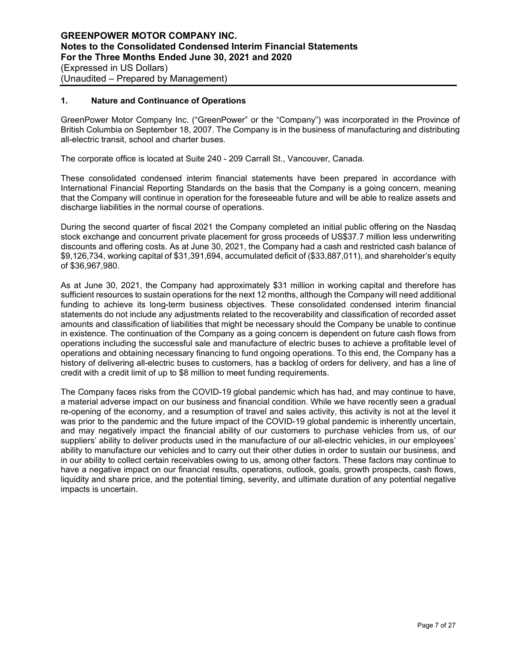## **1. Nature and Continuance of Operations**

GreenPower Motor Company Inc. ("GreenPower" or the "Company") was incorporated in the Province of British Columbia on September 18, 2007. The Company is in the business of manufacturing and distributing all-electric transit, school and charter buses.

The corporate office is located at Suite 240 - 209 Carrall St., Vancouver, Canada.

These consolidated condensed interim financial statements have been prepared in accordance with International Financial Reporting Standards on the basis that the Company is a going concern, meaning that the Company will continue in operation for the foreseeable future and will be able to realize assets and discharge liabilities in the normal course of operations.

During the second quarter of fiscal 2021 the Company completed an initial public offering on the Nasdaq stock exchange and concurrent private placement for gross proceeds of US\$37.7 million less underwriting discounts and offering costs. As at June 30, 2021, the Company had a cash and restricted cash balance of \$9,126,734, working capital of \$31,391,694, accumulated deficit of (\$33,887,011), and shareholder's equity of \$36,967,980.

As at June 30, 2021, the Company had approximately \$31 million in working capital and therefore has sufficient resources to sustain operations for the next 12 months, although the Company will need additional funding to achieve its long-term business objectives. These consolidated condensed interim financial statements do not include any adjustments related to the recoverability and classification of recorded asset amounts and classification of liabilities that might be necessary should the Company be unable to continue in existence. The continuation of the Company as a going concern is dependent on future cash flows from operations including the successful sale and manufacture of electric buses to achieve a profitable level of operations and obtaining necessary financing to fund ongoing operations. To this end, the Company has a history of delivering all-electric buses to customers, has a backlog of orders for delivery, and has a line of credit with a credit limit of up to \$8 million to meet funding requirements.

The Company faces risks from the COVID-19 global pandemic which has had, and may continue to have, a material adverse impact on our business and financial condition. While we have recently seen a gradual re-opening of the economy, and a resumption of travel and sales activity, this activity is not at the level it was prior to the pandemic and the future impact of the COVID-19 global pandemic is inherently uncertain, and may negatively impact the financial ability of our customers to purchase vehicles from us, of our suppliers' ability to deliver products used in the manufacture of our all-electric vehicles, in our employees' ability to manufacture our vehicles and to carry out their other duties in order to sustain our business, and in our ability to collect certain receivables owing to us, among other factors. These factors may continue to have a negative impact on our financial results, operations, outlook, goals, growth prospects, cash flows, liquidity and share price, and the potential timing, severity, and ultimate duration of any potential negative impacts is uncertain.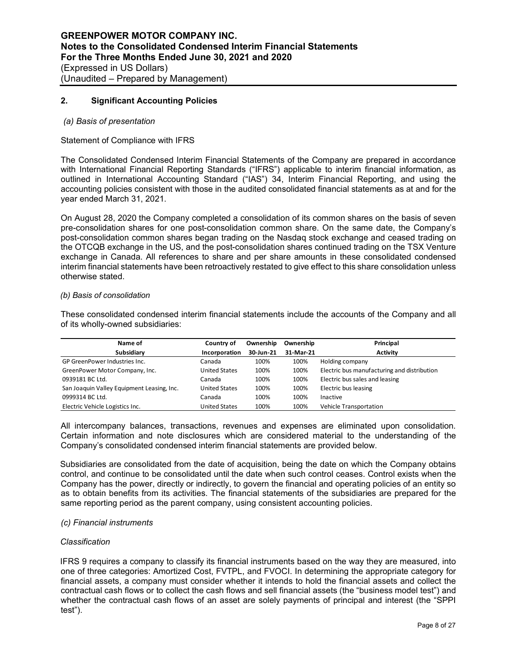## **2. Significant Accounting Policies**

#### *(a) Basis of presentation*

## Statement of Compliance with IFRS

The Consolidated Condensed Interim Financial Statements of the Company are prepared in accordance with International Financial Reporting Standards ("IFRS") applicable to interim financial information, as outlined in International Accounting Standard ("IAS") 34, Interim Financial Reporting, and using the accounting policies consistent with those in the audited consolidated financial statements as at and for the year ended March 31, 2021.

On August 28, 2020 the Company completed a consolidation of its common shares on the basis of seven pre-consolidation shares for one post-consolidation common share. On the same date, the Company's post-consolidation common shares began trading on the Nasdaq stock exchange and ceased trading on the OTCQB exchange in the US, and the post-consolidation shares continued trading on the TSX Venture exchange in Canada. All references to share and per share amounts in these consolidated condensed interim financial statements have been retroactively restated to give effect to this share consolidation unless otherwise stated.

#### *(b) Basis of consolidation*

These consolidated condensed interim financial statements include the accounts of the Company and all of its wholly-owned subsidiaries:

| Name of                                    | Country of           | Ownership | Ownership | Principal                                   |
|--------------------------------------------|----------------------|-----------|-----------|---------------------------------------------|
| Subsidiary                                 | Incorporation        | 30-Jun-21 | 31-Mar-21 | <b>Activity</b>                             |
| GP GreenPower Industries Inc.              | Canada               | 100%      | 100%      | Holding company                             |
| GreenPower Motor Company, Inc.             | <b>United States</b> | 100%      | 100%      | Electric bus manufacturing and distribution |
| 0939181 BC Ltd.                            | Canada               | 100%      | 100%      | Electric bus sales and leasing              |
| San Joaquin Valley Equipment Leasing, Inc. | <b>United States</b> | 100%      | 100%      | Electric bus leasing                        |
| 0999314 BC Ltd.                            | Canada               | 100%      | 100%      | Inactive                                    |
| Electric Vehicle Logistics Inc.            | <b>United States</b> | 100%      | 100%      | Vehicle Transportation                      |

All intercompany balances, transactions, revenues and expenses are eliminated upon consolidation. Certain information and note disclosures which are considered material to the understanding of the Company's consolidated condensed interim financial statements are provided below.

Subsidiaries are consolidated from the date of acquisition, being the date on which the Company obtains control, and continue to be consolidated until the date when such control ceases. Control exists when the Company has the power, directly or indirectly, to govern the financial and operating policies of an entity so as to obtain benefits from its activities. The financial statements of the subsidiaries are prepared for the same reporting period as the parent company, using consistent accounting policies.

#### *(c) Financial instruments*

## *Classification*

IFRS 9 requires a company to classify its financial instruments based on the way they are measured, into one of three categories: Amortized Cost, FVTPL, and FVOCI. In determining the appropriate category for financial assets, a company must consider whether it intends to hold the financial assets and collect the contractual cash flows or to collect the cash flows and sell financial assets (the "business model test") and whether the contractual cash flows of an asset are solely payments of principal and interest (the "SPPI test").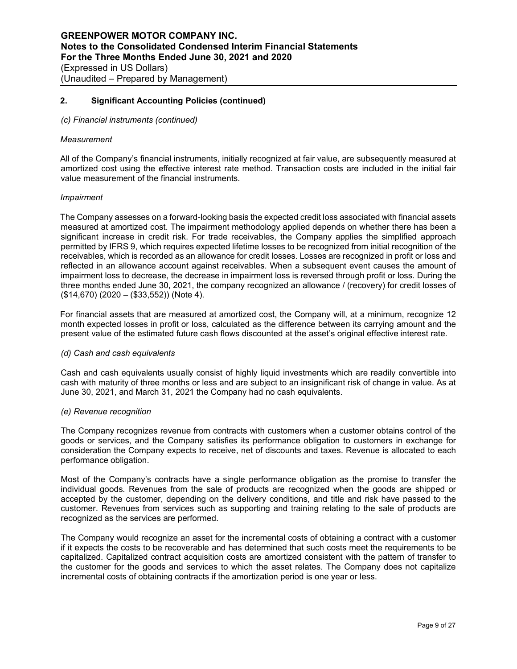## *(c) Financial instruments (continued)*

#### *Measurement*

All of the Company's financial instruments, initially recognized at fair value, are subsequently measured at amortized cost using the effective interest rate method. Transaction costs are included in the initial fair value measurement of the financial instruments.

## *Impairment*

The Company assesses on a forward-looking basis the expected credit loss associated with financial assets measured at amortized cost. The impairment methodology applied depends on whether there has been a significant increase in credit risk. For trade receivables, the Company applies the simplified approach permitted by IFRS 9, which requires expected lifetime losses to be recognized from initial recognition of the receivables, which is recorded as an allowance for credit losses. Losses are recognized in profit or loss and reflected in an allowance account against receivables. When a subsequent event causes the amount of impairment loss to decrease, the decrease in impairment loss is reversed through profit or loss. During the three months ended June 30, 2021, the company recognized an allowance / (recovery) for credit losses of (\$14,670) (2020 – (\$33,552)) (Note 4).

For financial assets that are measured at amortized cost, the Company will, at a minimum, recognize 12 month expected losses in profit or loss, calculated as the difference between its carrying amount and the present value of the estimated future cash flows discounted at the asset's original effective interest rate.

#### *(d) Cash and cash equivalents*

Cash and cash equivalents usually consist of highly liquid investments which are readily convertible into cash with maturity of three months or less and are subject to an insignificant risk of change in value. As at June 30, 2021, and March 31, 2021 the Company had no cash equivalents.

#### *(e) Revenue recognition*

The Company recognizes revenue from contracts with customers when a customer obtains control of the goods or services, and the Company satisfies its performance obligation to customers in exchange for consideration the Company expects to receive, net of discounts and taxes. Revenue is allocated to each performance obligation.

Most of the Company's contracts have a single performance obligation as the promise to transfer the individual goods. Revenues from the sale of products are recognized when the goods are shipped or accepted by the customer, depending on the delivery conditions, and title and risk have passed to the customer. Revenues from services such as supporting and training relating to the sale of products are recognized as the services are performed.

The Company would recognize an asset for the incremental costs of obtaining a contract with a customer if it expects the costs to be recoverable and has determined that such costs meet the requirements to be capitalized. Capitalized contract acquisition costs are amortized consistent with the pattern of transfer to the customer for the goods and services to which the asset relates. The Company does not capitalize incremental costs of obtaining contracts if the amortization period is one year or less.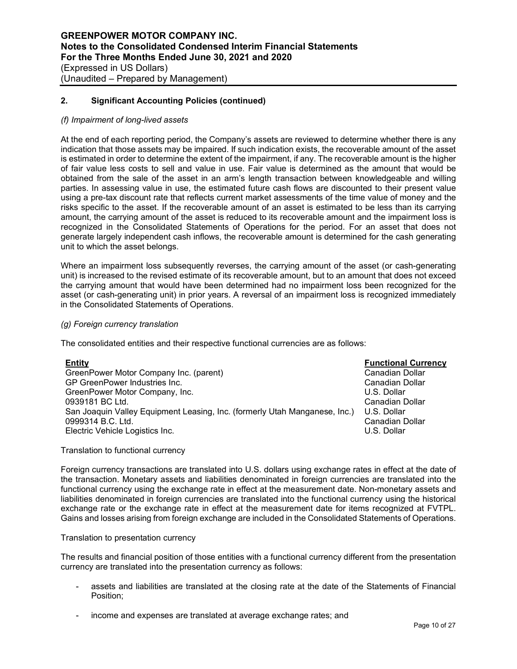## *(f) Impairment of long-lived assets*

At the end of each reporting period, the Company's assets are reviewed to determine whether there is any indication that those assets may be impaired. If such indication exists, the recoverable amount of the asset is estimated in order to determine the extent of the impairment, if any. The recoverable amount is the higher of fair value less costs to sell and value in use. Fair value is determined as the amount that would be obtained from the sale of the asset in an arm's length transaction between knowledgeable and willing parties. In assessing value in use, the estimated future cash flows are discounted to their present value using a pre-tax discount rate that reflects current market assessments of the time value of money and the risks specific to the asset. If the recoverable amount of an asset is estimated to be less than its carrying amount, the carrying amount of the asset is reduced to its recoverable amount and the impairment loss is recognized in the Consolidated Statements of Operations for the period. For an asset that does not generate largely independent cash inflows, the recoverable amount is determined for the cash generating unit to which the asset belongs.

Where an impairment loss subsequently reverses, the carrying amount of the asset (or cash-generating unit) is increased to the revised estimate of its recoverable amount, but to an amount that does not exceed the carrying amount that would have been determined had no impairment loss been recognized for the asset (or cash-generating unit) in prior years. A reversal of an impairment loss is recognized immediately in the Consolidated Statements of Operations.

## *(g) Foreign currency translation*

The consolidated entities and their respective functional currencies are as follows:

| <b>Entity</b>                                                              | <b>Functional Currency</b> |
|----------------------------------------------------------------------------|----------------------------|
| GreenPower Motor Company Inc. (parent)                                     | Canadian Dollar            |
| GP GreenPower Industries Inc.                                              | Canadian Dollar            |
| GreenPower Motor Company, Inc.                                             | U.S. Dollar                |
| 0939181 BC Ltd.                                                            | Canadian Dollar            |
| San Joaquin Valley Equipment Leasing, Inc. (formerly Utah Manganese, Inc.) | U.S. Dollar                |
| 0999314 B.C. Ltd.                                                          | Canadian Dollar            |
| Electric Vehicle Logistics Inc.                                            | U.S. Dollar                |

Translation to functional currency

Foreign currency transactions are translated into U.S. dollars using exchange rates in effect at the date of the transaction. Monetary assets and liabilities denominated in foreign currencies are translated into the functional currency using the exchange rate in effect at the measurement date. Non-monetary assets and liabilities denominated in foreign currencies are translated into the functional currency using the historical exchange rate or the exchange rate in effect at the measurement date for items recognized at FVTPL. Gains and losses arising from foreign exchange are included in the Consolidated Statements of Operations.

#### Translation to presentation currency

The results and financial position of those entities with a functional currency different from the presentation currency are translated into the presentation currency as follows:

- assets and liabilities are translated at the closing rate at the date of the Statements of Financial Position;
- income and expenses are translated at average exchange rates; and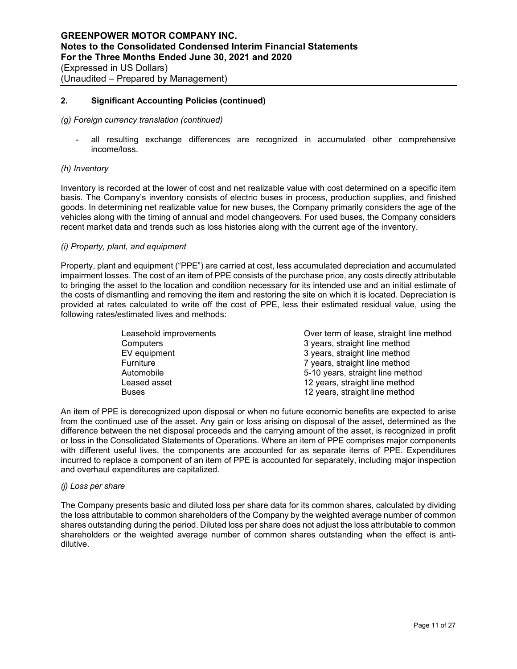#### *(g) Foreign currency translation (continued)*

all resulting exchange differences are recognized in accumulated other comprehensive income/loss.

## *(h) Inventory*

Inventory is recorded at the lower of cost and net realizable value with cost determined on a specific item basis. The Company's inventory consists of electric buses in process, production supplies, and finished goods. In determining net realizable value for new buses, the Company primarily considers the age of the vehicles along with the timing of annual and model changeovers. For used buses, the Company considers recent market data and trends such as loss histories along with the current age of the inventory.

## *(i) Property, plant, and equipment*

Property, plant and equipment ("PPE") are carried at cost, less accumulated depreciation and accumulated impairment losses. The cost of an item of PPE consists of the purchase price, any costs directly attributable to bringing the asset to the location and condition necessary for its intended use and an initial estimate of the costs of dismantling and removing the item and restoring the site on which it is located. Depreciation is provided at rates calculated to write off the cost of PPE, less their estimated residual value, using the following rates/estimated lives and methods:

| Leasehold improvements | Over term of lease, straight line method |
|------------------------|------------------------------------------|
| Computers              | 3 years, straight line method            |
| EV equipment           | 3 years, straight line method            |
| Furniture              | 7 years, straight line method            |
| Automobile             | 5-10 years, straight line method         |
| Leased asset           | 12 years, straight line method           |
| <b>Buses</b>           | 12 years, straight line method           |

An item of PPE is derecognized upon disposal or when no future economic benefits are expected to arise from the continued use of the asset. Any gain or loss arising on disposal of the asset, determined as the difference between the net disposal proceeds and the carrying amount of the asset, is recognized in profit or loss in the Consolidated Statements of Operations. Where an item of PPE comprises major components with different useful lives, the components are accounted for as separate items of PPE. Expenditures incurred to replace a component of an item of PPE is accounted for separately, including major inspection and overhaul expenditures are capitalized.

#### *(j) Loss per share*

The Company presents basic and diluted loss per share data for its common shares, calculated by dividing the loss attributable to common shareholders of the Company by the weighted average number of common shares outstanding during the period. Diluted loss per share does not adjust the loss attributable to common shareholders or the weighted average number of common shares outstanding when the effect is antidilutive.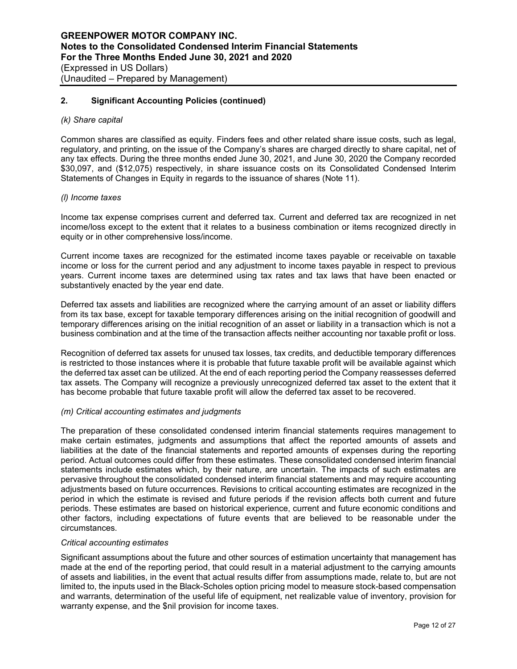## *(k) Share capital*

Common shares are classified as equity. Finders fees and other related share issue costs, such as legal, regulatory, and printing, on the issue of the Company's shares are charged directly to share capital, net of any tax effects. During the three months ended June 30, 2021, and June 30, 2020 the Company recorded \$30,097, and (\$12,075) respectively, in share issuance costs on its Consolidated Condensed Interim Statements of Changes in Equity in regards to the issuance of shares (Note 11).

## *(l) Income taxes*

Income tax expense comprises current and deferred tax. Current and deferred tax are recognized in net income/loss except to the extent that it relates to a business combination or items recognized directly in equity or in other comprehensive loss/income.

Current income taxes are recognized for the estimated income taxes payable or receivable on taxable income or loss for the current period and any adjustment to income taxes payable in respect to previous years. Current income taxes are determined using tax rates and tax laws that have been enacted or substantively enacted by the year end date.

Deferred tax assets and liabilities are recognized where the carrying amount of an asset or liability differs from its tax base, except for taxable temporary differences arising on the initial recognition of goodwill and temporary differences arising on the initial recognition of an asset or liability in a transaction which is not a business combination and at the time of the transaction affects neither accounting nor taxable profit or loss.

Recognition of deferred tax assets for unused tax losses, tax credits, and deductible temporary differences is restricted to those instances where it is probable that future taxable profit will be available against which the deferred tax asset can be utilized. At the end of each reporting period the Company reassesses deferred tax assets. The Company will recognize a previously unrecognized deferred tax asset to the extent that it has become probable that future taxable profit will allow the deferred tax asset to be recovered.

#### *(m) Critical accounting estimates and judgments*

The preparation of these consolidated condensed interim financial statements requires management to make certain estimates, judgments and assumptions that affect the reported amounts of assets and liabilities at the date of the financial statements and reported amounts of expenses during the reporting period. Actual outcomes could differ from these estimates. These consolidated condensed interim financial statements include estimates which, by their nature, are uncertain. The impacts of such estimates are pervasive throughout the consolidated condensed interim financial statements and may require accounting adjustments based on future occurrences. Revisions to critical accounting estimates are recognized in the period in which the estimate is revised and future periods if the revision affects both current and future periods. These estimates are based on historical experience, current and future economic conditions and other factors, including expectations of future events that are believed to be reasonable under the circumstances.

#### *Critical accounting estimates*

Significant assumptions about the future and other sources of estimation uncertainty that management has made at the end of the reporting period, that could result in a material adjustment to the carrying amounts of assets and liabilities, in the event that actual results differ from assumptions made, relate to, but are not limited to, the inputs used in the Black-Scholes option pricing model to measure stock-based compensation and warrants, determination of the useful life of equipment, net realizable value of inventory, provision for warranty expense, and the \$nil provision for income taxes.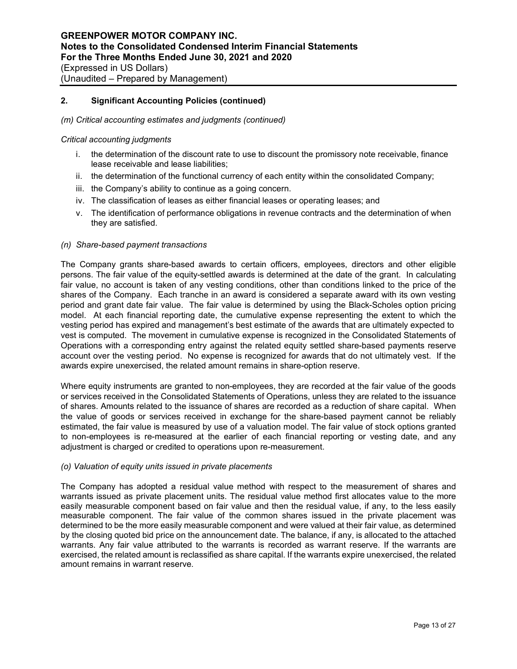## *(m) Critical accounting estimates and judgments (continued)*

#### *Critical accounting judgments*

- i. the determination of the discount rate to use to discount the promissory note receivable, finance lease receivable and lease liabilities;
- ii. the determination of the functional currency of each entity within the consolidated Company;
- iii. the Company's ability to continue as a going concern.
- iv. The classification of leases as either financial leases or operating leases; and
- v. The identification of performance obligations in revenue contracts and the determination of when they are satisfied.

## *(n) Share-based payment transactions*

The Company grants share-based awards to certain officers, employees, directors and other eligible persons. The fair value of the equity-settled awards is determined at the date of the grant. In calculating fair value, no account is taken of any vesting conditions, other than conditions linked to the price of the shares of the Company. Each tranche in an award is considered a separate award with its own vesting period and grant date fair value. The fair value is determined by using the Black-Scholes option pricing model. At each financial reporting date, the cumulative expense representing the extent to which the vesting period has expired and management's best estimate of the awards that are ultimately expected to vest is computed. The movement in cumulative expense is recognized in the Consolidated Statements of Operations with a corresponding entry against the related equity settled share-based payments reserve account over the vesting period. No expense is recognized for awards that do not ultimately vest. If the awards expire unexercised, the related amount remains in share-option reserve.

Where equity instruments are granted to non-employees, they are recorded at the fair value of the goods or services received in the Consolidated Statements of Operations, unless they are related to the issuance of shares. Amounts related to the issuance of shares are recorded as a reduction of share capital. When the value of goods or services received in exchange for the share-based payment cannot be reliably estimated, the fair value is measured by use of a valuation model. The fair value of stock options granted to non-employees is re-measured at the earlier of each financial reporting or vesting date, and any adjustment is charged or credited to operations upon re-measurement.

#### *(o) Valuation of equity units issued in private placements*

The Company has adopted a residual value method with respect to the measurement of shares and warrants issued as private placement units. The residual value method first allocates value to the more easily measurable component based on fair value and then the residual value, if any, to the less easily measurable component. The fair value of the common shares issued in the private placement was determined to be the more easily measurable component and were valued at their fair value, as determined by the closing quoted bid price on the announcement date. The balance, if any, is allocated to the attached warrants. Any fair value attributed to the warrants is recorded as warrant reserve. If the warrants are exercised, the related amount is reclassified as share capital. If the warrants expire unexercised, the related amount remains in warrant reserve.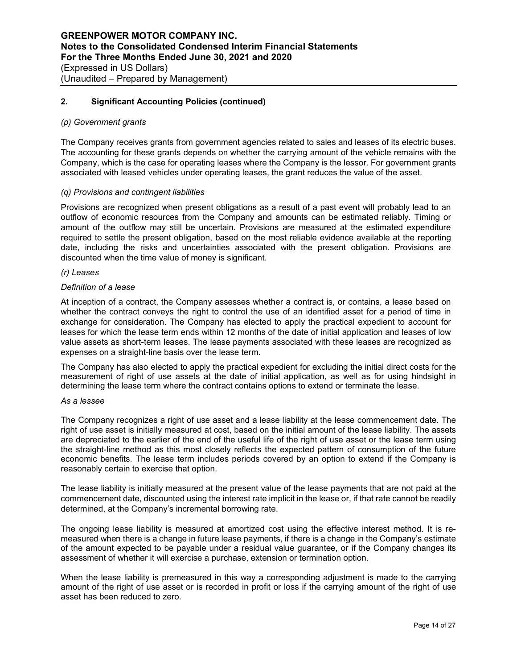#### *(p) Government grants*

The Company receives grants from government agencies related to sales and leases of its electric buses. The accounting for these grants depends on whether the carrying amount of the vehicle remains with the Company, which is the case for operating leases where the Company is the lessor. For government grants associated with leased vehicles under operating leases, the grant reduces the value of the asset.

## *(q) Provisions and contingent liabilities*

Provisions are recognized when present obligations as a result of a past event will probably lead to an outflow of economic resources from the Company and amounts can be estimated reliably. Timing or amount of the outflow may still be uncertain. Provisions are measured at the estimated expenditure required to settle the present obligation, based on the most reliable evidence available at the reporting date, including the risks and uncertainties associated with the present obligation. Provisions are discounted when the time value of money is significant.

#### *(r) Leases*

#### *Definition of a lease*

At inception of a contract, the Company assesses whether a contract is, or contains, a lease based on whether the contract conveys the right to control the use of an identified asset for a period of time in exchange for consideration. The Company has elected to apply the practical expedient to account for leases for which the lease term ends within 12 months of the date of initial application and leases of low value assets as short-term leases. The lease payments associated with these leases are recognized as expenses on a straight-line basis over the lease term.

The Company has also elected to apply the practical expedient for excluding the initial direct costs for the measurement of right of use assets at the date of initial application, as well as for using hindsight in determining the lease term where the contract contains options to extend or terminate the lease.

#### *As a lessee*

The Company recognizes a right of use asset and a lease liability at the lease commencement date. The right of use asset is initially measured at cost, based on the initial amount of the lease liability. The assets are depreciated to the earlier of the end of the useful life of the right of use asset or the lease term using the straight-line method as this most closely reflects the expected pattern of consumption of the future economic benefits. The lease term includes periods covered by an option to extend if the Company is reasonably certain to exercise that option.

The lease liability is initially measured at the present value of the lease payments that are not paid at the commencement date, discounted using the interest rate implicit in the lease or, if that rate cannot be readily determined, at the Company's incremental borrowing rate.

The ongoing lease liability is measured at amortized cost using the effective interest method. It is remeasured when there is a change in future lease payments, if there is a change in the Company's estimate of the amount expected to be payable under a residual value guarantee, or if the Company changes its assessment of whether it will exercise a purchase, extension or termination option.

When the lease liability is premeasured in this way a corresponding adiustment is made to the carrying amount of the right of use asset or is recorded in profit or loss if the carrying amount of the right of use asset has been reduced to zero.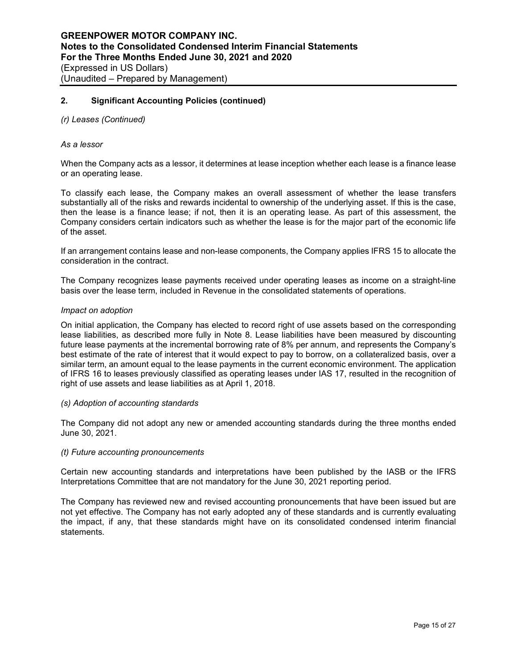## *(r) Leases (Continued)*

#### *As a lessor*

When the Company acts as a lessor, it determines at lease inception whether each lease is a finance lease or an operating lease.

To classify each lease, the Company makes an overall assessment of whether the lease transfers substantially all of the risks and rewards incidental to ownership of the underlying asset. If this is the case, then the lease is a finance lease; if not, then it is an operating lease. As part of this assessment, the Company considers certain indicators such as whether the lease is for the major part of the economic life of the asset.

If an arrangement contains lease and non-lease components, the Company applies IFRS 15 to allocate the consideration in the contract.

The Company recognizes lease payments received under operating leases as income on a straight-line basis over the lease term, included in Revenue in the consolidated statements of operations.

#### *Impact on adoption*

On initial application, the Company has elected to record right of use assets based on the corresponding lease liabilities, as described more fully in Note 8. Lease liabilities have been measured by discounting future lease payments at the incremental borrowing rate of 8% per annum, and represents the Company's best estimate of the rate of interest that it would expect to pay to borrow, on a collateralized basis, over a similar term, an amount equal to the lease payments in the current economic environment. The application of IFRS 16 to leases previously classified as operating leases under IAS 17, resulted in the recognition of right of use assets and lease liabilities as at April 1, 2018.

## *(s) Adoption of accounting standards*

The Company did not adopt any new or amended accounting standards during the three months ended June 30, 2021.

#### *(t) Future accounting pronouncements*

Certain new accounting standards and interpretations have been published by the IASB or the IFRS Interpretations Committee that are not mandatory for the June 30, 2021 reporting period.

The Company has reviewed new and revised accounting pronouncements that have been issued but are not yet effective. The Company has not early adopted any of these standards and is currently evaluating the impact, if any, that these standards might have on its consolidated condensed interim financial statements.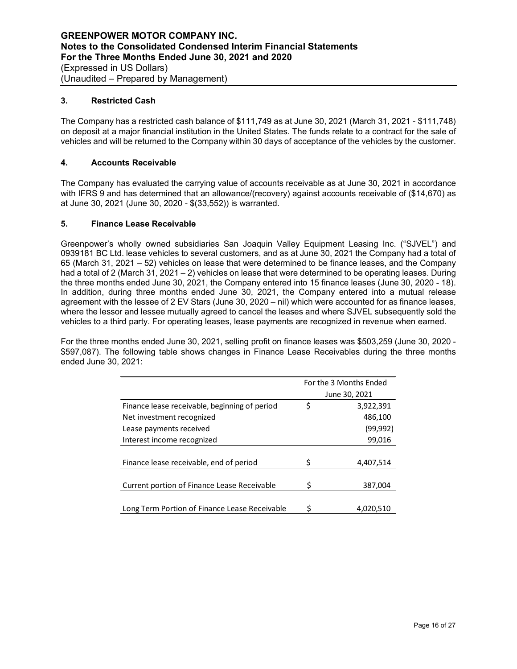## **3. Restricted Cash**

The Company has a restricted cash balance of \$111,749 as at June 30, 2021 (March 31, 2021 - \$111,748) on deposit at a major financial institution in the United States. The funds relate to a contract for the sale of vehicles and will be returned to the Company within 30 days of acceptance of the vehicles by the customer.

# **4. Accounts Receivable**

The Company has evaluated the carrying value of accounts receivable as at June 30, 2021 in accordance with IFRS 9 and has determined that an allowance/(recovery) against accounts receivable of (\$14,670) as at June 30, 2021 (June 30, 2020 - \$(33,552)) is warranted.

## **5. Finance Lease Receivable**

Greenpower's wholly owned subsidiaries San Joaquin Valley Equipment Leasing Inc. ("SJVEL") and 0939181 BC Ltd. lease vehicles to several customers, and as at June 30, 2021 the Company had a total of 65 (March 31, 2021 – 52) vehicles on lease that were determined to be finance leases, and the Company had a total of 2 (March 31, 2021 – 2) vehicles on lease that were determined to be operating leases. During the three months ended June 30, 2021, the Company entered into 15 finance leases (June 30, 2020 - 18). In addition, during three months ended June 30, 2021, the Company entered into a mutual release agreement with the lessee of 2 EV Stars (June 30, 2020 – nil) which were accounted for as finance leases, where the lessor and lessee mutually agreed to cancel the leases and where SJVEL subsequently sold the vehicles to a third party. For operating leases, lease payments are recognized in revenue when earned.

For the three months ended June 30, 2021, selling profit on finance leases was \$503,259 (June 30, 2020 - \$597,087). The following table shows changes in Finance Lease Receivables during the three months ended June 30, 2021:

|                                               |     | For the 3 Months Ended |
|-----------------------------------------------|-----|------------------------|
|                                               |     | June 30, 2021          |
| Finance lease receivable, beginning of period | \$  | 3,922,391              |
| Net investment recognized                     |     | 486,100                |
| Lease payments received                       |     | (99,992)               |
| Interest income recognized                    |     | 99,016                 |
|                                               |     |                        |
| Finance lease receivable, end of period       | \$. | 4,407,514              |
|                                               |     |                        |
| Current portion of Finance Lease Receivable   | Ś   | 387,004                |
|                                               |     |                        |
| Long Term Portion of Finance Lease Receivable | S   | 4,020,510              |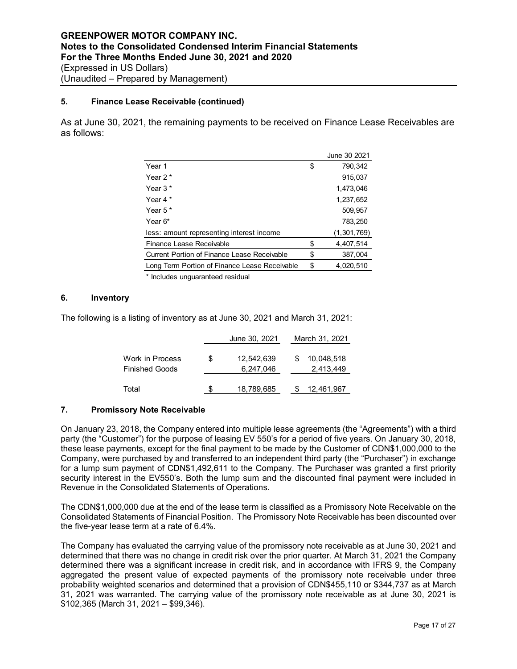# **5. Finance Lease Receivable (continued)**

As at June 30, 2021, the remaining payments to be received on Finance Lease Receivables are as follows:

|                                               | June 30 2021    |
|-----------------------------------------------|-----------------|
| Year 1                                        | \$<br>790.342   |
| Year $2*$                                     | 915,037         |
| Year $3*$                                     | 1,473,046       |
| Year 4*                                       | 1,237,652       |
| Year $5*$                                     | 509,957         |
| Year 6*                                       | 783,250         |
| less: amount representing interest income     | (1,301,769)     |
| Finance Lease Receivable                      | \$<br>4,407,514 |
| Current Portion of Finance Lease Receivable   | \$<br>387,004   |
| Long Term Portion of Finance Lease Receivable | \$<br>4,020,510 |

\* Includes unguaranteed residual

# **6. Inventory**

The following is a listing of inventory as at June 30, 2021 and March 31, 2021:

|                                   |    | June 30, 2021           | March 31, 2021          |
|-----------------------------------|----|-------------------------|-------------------------|
| Work in Process<br>Finished Goods | \$ | 12,542,639<br>6,247,046 | 10,048,518<br>2,413,449 |
| Total                             | S. | 18,789,685              | 12,461,967              |

## **7. Promissory Note Receivable**

On January 23, 2018, the Company entered into multiple lease agreements (the "Agreements") with a third party (the "Customer") for the purpose of leasing EV 550's for a period of five years. On January 30, 2018, these lease payments, except for the final payment to be made by the Customer of CDN\$1,000,000 to the Company, were purchased by and transferred to an independent third party (the "Purchaser") in exchange for a lump sum payment of CDN\$1,492,611 to the Company. The Purchaser was granted a first priority security interest in the EV550's. Both the lump sum and the discounted final payment were included in Revenue in the Consolidated Statements of Operations.

The CDN\$1,000,000 due at the end of the lease term is classified as a Promissory Note Receivable on the Consolidated Statements of Financial Position. The Promissory Note Receivable has been discounted over the five-year lease term at a rate of 6.4%.

The Company has evaluated the carrying value of the promissory note receivable as at June 30, 2021 and determined that there was no change in credit risk over the prior quarter. At March 31, 2021 the Company determined there was a significant increase in credit risk, and in accordance with IFRS 9, the Company aggregated the present value of expected payments of the promissory note receivable under three probability weighted scenarios and determined that a provision of CDN\$455,110 or \$344,737 as at March 31, 2021 was warranted. The carrying value of the promissory note receivable as at June 30, 2021 is \$102,365 (March 31, 2021 – \$99,346).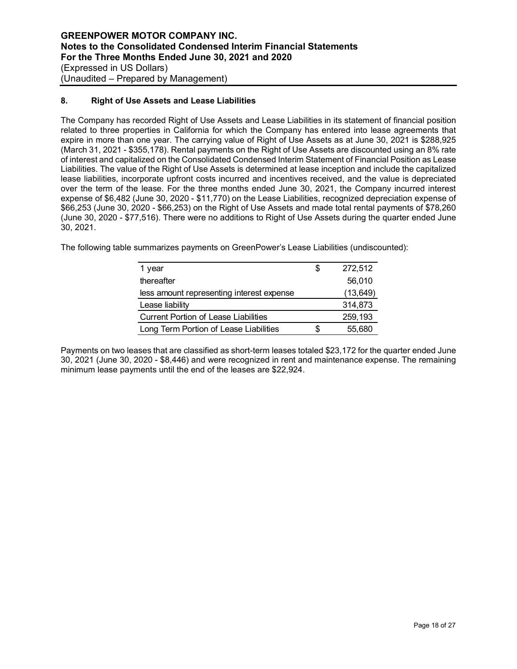## **8. Right of Use Assets and Lease Liabilities**

The Company has recorded Right of Use Assets and Lease Liabilities in its statement of financial position related to three properties in California for which the Company has entered into lease agreements that expire in more than one year. The carrying value of Right of Use Assets as at June 30, 2021 is \$288,925 (March 31, 2021 - \$355,178). Rental payments on the Right of Use Assets are discounted using an 8% rate of interest and capitalized on the Consolidated Condensed Interim Statement of Financial Position as Lease Liabilities. The value of the Right of Use Assets is determined at lease inception and include the capitalized lease liabilities, incorporate upfront costs incurred and incentives received, and the value is depreciated over the term of the lease. For the three months ended June 30, 2021, the Company incurred interest expense of \$6,482 (June 30, 2020 - \$11,770) on the Lease Liabilities, recognized depreciation expense of \$66,253 (June 30, 2020 - \$66,253) on the Right of Use Assets and made total rental payments of \$78,260 (June 30, 2020 - \$77,516). There were no additions to Right of Use Assets during the quarter ended June 30, 2021.

The following table summarizes payments on GreenPower's Lease Liabilities (undiscounted):

| 1 year                                      | S | 272,512   |
|---------------------------------------------|---|-----------|
| thereafter                                  |   | 56,010    |
| less amount representing interest expense   |   | (13, 649) |
| Lease liability                             |   | 314,873   |
| <b>Current Portion of Lease Liabilities</b> |   | 259,193   |
| Long Term Portion of Lease Liabilities      | S | 55,680    |

Payments on two leases that are classified as short-term leases totaled \$23,172 for the quarter ended June 30, 2021 (June 30, 2020 - \$8,446) and were recognized in rent and maintenance expense. The remaining minimum lease payments until the end of the leases are \$22,924.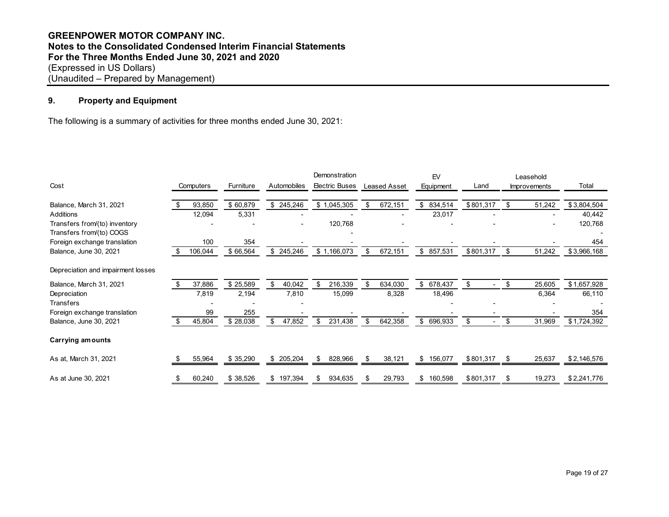# **GREENPOWER MOTOR COMPANY INC. Notes to the Consolidated Condensed Interim Financial Statements For the Three Months Ended June 30, 2021 and 2020** (Expressed in US Dollars) (Unaudited – Prepared by Management)

# **9. Property and Equipment**

The following is a summary of activities for three months ended June 30, 2021:

|                                    |     |           |           |     |             |     | Demonstration         |               | EV               |                                | Leasehold           |             |
|------------------------------------|-----|-----------|-----------|-----|-------------|-----|-----------------------|---------------|------------------|--------------------------------|---------------------|-------------|
| Cost                               |     | Computers | Furniture |     | Automobiles |     | <b>Electric Buses</b> | Leased Asset  | <b>Equipment</b> | Land                           | <b>Improvements</b> | Total       |
|                                    |     |           |           |     |             |     |                       |               |                  |                                |                     |             |
| Balance, March 31, 2021            | S.  | 93,850    | \$60,879  |     | \$245,246   |     | \$1,045,305           | \$<br>672,151 | \$<br>834,514    | \$801,317                      | \$<br>51,242        | \$3,804,504 |
| <b>Additions</b>                   |     | 12,094    | 5,331     |     |             |     |                       |               | 23,017           |                                |                     | 40,442      |
| Transfers from/(to) inventory      |     |           |           |     |             |     | 120,768               |               |                  |                                |                     | 120,768     |
| Transfers from/(to) COGS           |     |           |           |     |             |     |                       |               |                  |                                |                     |             |
| Foreign exchange translation       |     | 100       | 354       |     |             |     |                       |               |                  |                                |                     | 454         |
| Balance, June 30, 2021             | \$. | 106,044   | \$66,564  |     | \$245,246   |     | \$1,166,073           | \$<br>672,151 | \$<br>857,531    | \$801,317                      | \$<br>51,242        | \$3,966,168 |
| Depreciation and impairment losses |     |           |           |     |             |     |                       |               |                  |                                |                     |             |
| Balance, March 31, 2021            | \$  | 37,886    | \$25,589  | \$. | 40,042      | \$. | 216,339               | \$<br>634,030 | \$<br>678,437    | \$                             | \$<br>25,605        | \$1,657,928 |
| Depreciation                       |     | 7,819     | 2,194     |     | 7,810       |     | 15,099                | 8,328         | 18,496           |                                | 6,364               | 66,110      |
| <b>Transfers</b>                   |     |           |           |     |             |     |                       |               |                  |                                |                     |             |
| Foreign exchange translation       |     | 99        | 255       |     |             |     |                       |               |                  |                                |                     | 354         |
| Balance, June 30, 2021             | \$. | 45,804    | \$28,038  |     | 47,852      | \$  | 231,438               | \$<br>642,358 | \$ 696,933       | \$<br>$\overline{\phantom{0}}$ | \$<br>31,969        | \$1,724,392 |
| Carrying amounts                   |     |           |           |     |             |     |                       |               |                  |                                |                     |             |
| As at, March 31, 2021              |     | 55,964    | \$35,290  |     | \$205,204   | \$  | 828,966               | \$<br>38,121  | \$<br>156,077    | \$801,317                      | \$<br>25,637        | \$2,146,576 |
| As at June 30, 2021                | \$  | 60,240    | \$38,526  |     | \$197,394   | \$. | 934,635               | \$<br>29,793  | \$<br>160,598    | \$801,317                      | \$<br>19,273        | \$2,241,776 |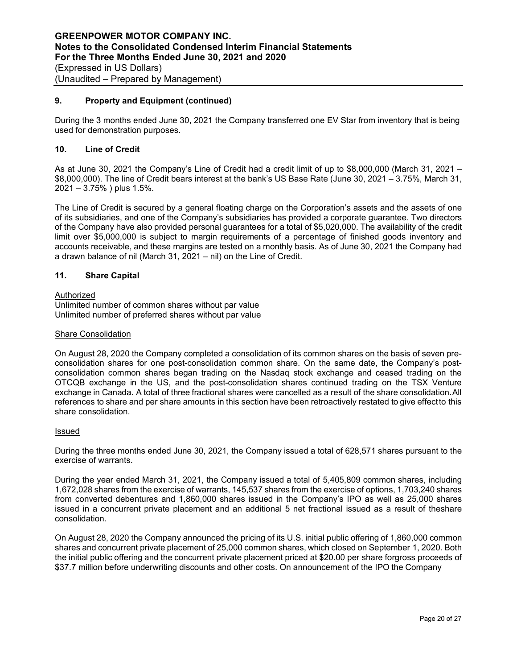## **9. Property and Equipment (continued)**

During the 3 months ended June 30, 2021 the Company transferred one EV Star from inventory that is being used for demonstration purposes.

## **10. Line of Credit**

As at June 30, 2021 the Company's Line of Credit had a credit limit of up to \$8,000,000 (March 31, 2021 – \$8,000,000). The line of Credit bears interest at the bank's US Base Rate (June 30, 2021 – 3.75%, March 31, 2021 – 3.75% ) plus 1.5%.

The Line of Credit is secured by a general floating charge on the Corporation's assets and the assets of one of its subsidiaries, and one of the Company's subsidiaries has provided a corporate guarantee. Two directors of the Company have also provided personal guarantees for a total of \$5,020,000. The availability of the credit limit over \$5,000,000 is subject to margin requirements of a percentage of finished goods inventory and accounts receivable, and these margins are tested on a monthly basis. As of June 30, 2021 the Company had a drawn balance of nil (March 31, 2021 – nil) on the Line of Credit.

## **11. Share Capital**

## Authorized

Unlimited number of common shares without par value Unlimited number of preferred shares without par value

#### Share Consolidation

On August 28, 2020 the Company completed a consolidation of its common shares on the basis of seven preconsolidation shares for one post-consolidation common share. On the same date, the Company's postconsolidation common shares began trading on the Nasdaq stock exchange and ceased trading on the OTCQB exchange in the US, and the post-consolidation shares continued trading on the TSX Venture exchange in Canada. A total of three fractional shares were cancelled as a result of the share consolidation. All references to share and per share amounts in this section have been retroactively restated to give effect to this share consolidation.

### Issued

During the three months ended June 30, 2021, the Company issued a total of 628,571 shares pursuant to the exercise of warrants.

During the year ended March 31, 2021, the Company issued a total of 5,405,809 common shares, including 1,672,028 shares from the exercise of warrants, 145,537 shares from the exercise of options, 1,703,240 shares from converted debentures and 1,860,000 shares issued in the Company's IPO as well as 25,000 shares issued in a concurrent private placement and an additional 5 net fractional issued as a result of theshare consolidation.

On August 28, 2020 the Company announced the pricing of its U.S. initial public offering of 1,860,000 common shares and concurrent private placement of 25,000 common shares, which closed on September 1, 2020. Both the initial public offering and the concurrent private placement priced at \$20.00 per share forgross proceeds of \$37.7 million before underwriting discounts and other costs. On announcement of the IPO the Company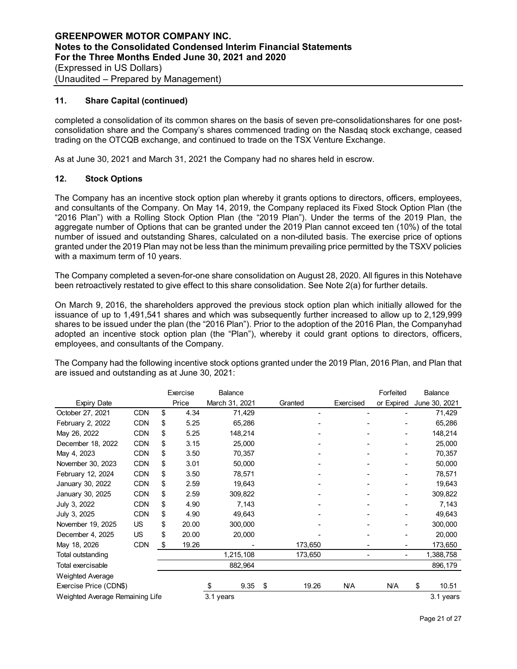## **11. Share Capital (continued)**

completed a consolidation of its common shares on the basis of seven pre-consolidationshares for one postconsolidation share and the Company's shares commenced trading on the Nasdaq stock exchange, ceased trading on the OTCQB exchange, and continued to trade on the TSX Venture Exchange.

As at June 30, 2021 and March 31, 2021 the Company had no shares held in escrow.

## **12. Stock Options**

The Company has an incentive stock option plan whereby it grants options to directors, officers, employees, and consultants of the Company. On May 14, 2019, the Company replaced its Fixed Stock Option Plan (the "2016 Plan") with a Rolling Stock Option Plan (the "2019 Plan"). Under the terms of the 2019 Plan, the aggregate number of Options that can be granted under the 2019 Plan cannot exceed ten (10%) of the total number of issued and outstanding Shares, calculated on a non-diluted basis. The exercise price of options granted under the 2019 Plan may not be less than the minimum prevailing price permitted by the TSXV policies with a maximum term of 10 years.

The Company completed a seven-for-one share consolidation on August 28, 2020. All figures in this Notehave been retroactively restated to give effect to this share consolidation. See Note 2(a) for further details.

On March 9, 2016, the shareholders approved the previous stock option plan which initially allowed for the issuance of up to 1,491,541 shares and which was subsequently further increased to allow up to 2,129,999 shares to be issued under the plan (the "2016 Plan"). Prior to the adoption of the 2016 Plan, the Companyhad adopted an incentive stock option plan (the "Plan"), whereby it could grant options to directors, officers, employees, and consultants of the Company.

|                                              |            |    | Exercise | <b>Balance</b> |    |         |           | Forfeited  |    | Balance       |
|----------------------------------------------|------------|----|----------|----------------|----|---------|-----------|------------|----|---------------|
| <b>Expiry Date</b>                           |            |    | Price    | March 31, 2021 |    | Granted | Exercised | or Expired |    | June 30, 2021 |
| October 27, 2021                             | <b>CDN</b> | \$ | 4.34     | 71,429         |    |         |           |            |    | 71,429        |
| February 2, 2022                             | <b>CDN</b> | \$ | 5.25     | 65,286         |    |         |           |            |    | 65,286        |
| May 26, 2022                                 | CDN        | \$ | 5.25     | 148,214        |    |         |           |            |    | 148,214       |
| December 18, 2022                            | CDN        | \$ | 3.15     | 25,000         |    |         |           |            |    | 25,000        |
| May 4, 2023                                  | <b>CDN</b> | \$ | 3.50     | 70,357         |    |         |           |            |    | 70,357        |
| November 30, 2023                            | <b>CDN</b> | \$ | 3.01     | 50,000         |    |         |           |            |    | 50,000        |
| February 12, 2024                            | <b>CDN</b> | \$ | 3.50     | 78,571         |    |         |           |            |    | 78,571        |
| January 30, 2022                             | <b>CDN</b> | \$ | 2.59     | 19,643         |    |         |           |            |    | 19,643        |
| January 30, 2025                             | CDN        | \$ | 2.59     | 309,822        |    |         |           |            |    | 309,822       |
| July 3, 2022                                 | CDN        | \$ | 4.90     | 7,143          |    |         |           |            |    | 7,143         |
| July 3, 2025                                 | <b>CDN</b> | \$ | 4.90     | 49,643         |    |         |           |            |    | 49,643        |
| November 19, 2025                            | US.        | \$ | 20.00    | 300,000        |    |         |           |            |    | 300,000       |
| December 4, 2025                             | US.        | \$ | 20.00    | 20,000         |    |         |           |            |    | 20,000        |
| May 18, 2026                                 | <b>CDN</b> | \$ | 19.26    |                |    | 173,650 |           |            |    | 173,650       |
| Total outstanding                            |            |    |          | 1,215,108      |    | 173,650 |           |            |    | 1,388,758     |
| Total exercisable                            |            |    |          | 882,964        |    |         |           |            |    | 896,179       |
| Weighted Average                             |            |    |          |                |    |         |           |            |    |               |
| Exercise Price (CDN\$)                       |            |    |          | \$<br>9.35     | \$ | 19.26   | N/A       | N/A        | \$ | 10.51         |
| Weighted Average Remaining Life<br>3.1 years |            |    |          |                |    |         |           | 3.1 years  |    |               |

The Company had the following incentive stock options granted under the 2019 Plan, 2016 Plan, and Plan that are issued and outstanding as at June 30, 2021: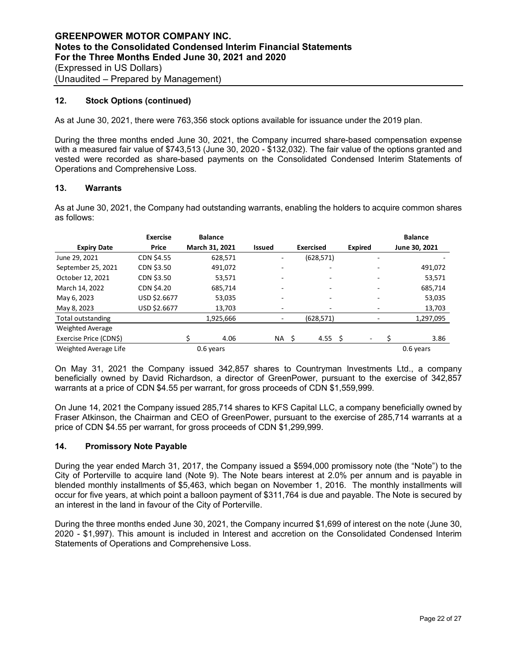## **12. Stock Options (continued)**

As at June 30, 2021, there were 763,356 stock options available for issuance under the 2019 plan.

During the three months ended June 30, 2021, the Company incurred share-based compensation expense with a measured fair value of \$743,513 (June 30, 2020 - \$132,032). The fair value of the options granted and vested were recorded as share-based payments on the Consolidated Condensed Interim Statements of Operations and Comprehensive Loss.

## **13. Warrants**

As at June 30, 2021, the Company had outstanding warrants, enabling the holders to acquire common shares as follows:

|                         | <b>Exercise</b> | <b>Balance</b> |               |                  |                | <b>Balance</b> |
|-------------------------|-----------------|----------------|---------------|------------------|----------------|----------------|
| <b>Expiry Date</b>      | Price           | March 31, 2021 | <b>Issued</b> | <b>Exercised</b> | <b>Expired</b> | June 30, 2021  |
| June 29, 2021           | CDN \$4.55      | 628,571        | ۰             | (628, 571)       |                |                |
| September 25, 2021      | CDN \$3.50      | 491,072        |               |                  |                | 491,072        |
| October 12, 2021        | CDN \$3.50      | 53,571         |               |                  |                | 53,571         |
| March 14, 2022          | CDN \$4.20      | 685,714        |               | ٠                | -              | 685,714        |
| May 6, 2023             | USD \$2.6677    | 53,035         |               |                  |                | 53,035         |
| May 8, 2023             | USD \$2.6677    | 13,703         |               |                  |                | 13,703         |
| Total outstanding       |                 | 1,925,666      |               | (628, 571)       |                | 1,297,095      |
| <b>Weighted Average</b> |                 |                |               |                  |                |                |
| Exercise Price (CDN\$)  |                 | 4.06           | NA \$         | 4.55 \$          |                | 3.86           |
| Weighted Average Life   |                 | 0.6 years      |               |                  |                | 0.6 years      |

On May 31, 2021 the Company issued 342,857 shares to Countryman Investments Ltd., a company beneficially owned by David Richardson, a director of GreenPower, pursuant to the exercise of 342,857 warrants at a price of CDN \$4.55 per warrant, for gross proceeds of CDN \$1,559,999.

On June 14, 2021 the Company issued 285,714 shares to KFS Capital LLC, a company beneficially owned by Fraser Atkinson, the Chairman and CEO of GreenPower, pursuant to the exercise of 285,714 warrants at a price of CDN \$4.55 per warrant, for gross proceeds of CDN \$1,299,999.

## **14. Promissory Note Payable**

During the year ended March 31, 2017, the Company issued a \$594,000 promissory note (the "Note") to the City of Porterville to acquire land (Note 9). The Note bears interest at 2.0% per annum and is payable in blended monthly installments of \$5,463, which began on November 1, 2016. The monthly installments will occur for five years, at which point a balloon payment of \$311,764 is due and payable. The Note is secured by an interest in the land in favour of the City of Porterville.

During the three months ended June 30, 2021, the Company incurred \$1,699 of interest on the note (June 30, 2020 - \$1,997). This amount is included in Interest and accretion on the Consolidated Condensed Interim Statements of Operations and Comprehensive Loss.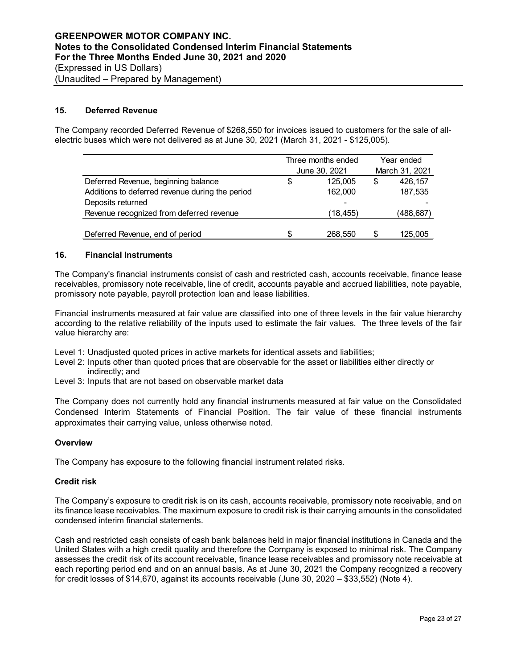## **15. Deferred Revenue**

The Company recorded Deferred Revenue of \$268,550 for invoices issued to customers for the sale of allelectric buses which were not delivered as at June 30, 2021 (March 31, 2021 - \$125,005).

|                                                 | Three months ended | Year ended<br>March 31, 2021 |           |  |
|-------------------------------------------------|--------------------|------------------------------|-----------|--|
|                                                 | June 30, 2021      |                              |           |  |
| Deferred Revenue, beginning balance             | \$<br>125.005      | \$                           | 426,157   |  |
| Additions to deferred revenue during the period | 162,000            |                              | 187,535   |  |
| Deposits returned                               |                    |                              |           |  |
| Revenue recognized from deferred revenue        | (18,455)           |                              | (488,687) |  |
|                                                 |                    |                              |           |  |
| Deferred Revenue, end of period                 | \$<br>268,550      | S                            | 125.005   |  |

## **16. Financial Instruments**

The Company's financial instruments consist of cash and restricted cash, accounts receivable, finance lease receivables, promissory note receivable, line of credit, accounts payable and accrued liabilities, note payable, promissory note payable, payroll protection loan and lease liabilities.

Financial instruments measured at fair value are classified into one of three levels in the fair value hierarchy according to the relative reliability of the inputs used to estimate the fair values. The three levels of the fair value hierarchy are:

Level 1: Unadjusted quoted prices in active markets for identical assets and liabilities;

- Level 2: Inputs other than quoted prices that are observable for the asset or liabilities either directly or indirectly; and
- Level 3: Inputs that are not based on observable market data

The Company does not currently hold any financial instruments measured at fair value on the Consolidated Condensed Interim Statements of Financial Position. The fair value of these financial instruments approximates their carrying value, unless otherwise noted.

#### **Overview**

The Company has exposure to the following financial instrument related risks.

#### **Credit risk**

The Company's exposure to credit risk is on its cash, accounts receivable, promissory note receivable, and on its finance lease receivables. The maximum exposure to credit risk is their carrying amounts in the consolidated condensed interim financial statements.

Cash and restricted cash consists of cash bank balances held in major financial institutions in Canada and the United States with a high credit quality and therefore the Company is exposed to minimal risk. The Company assesses the credit risk of its account receivable, finance lease receivables and promissory note receivable at each reporting period end and on an annual basis. As at June 30, 2021 the Company recognized a recovery for credit losses of \$14,670, against its accounts receivable (June 30, 2020 – \$33,552) (Note 4).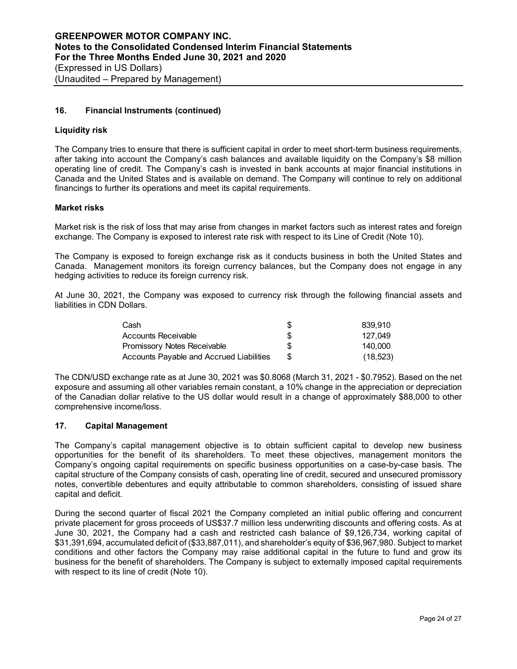## **16. Financial Instruments (continued)**

## **Liquidity risk**

The Company tries to ensure that there is sufficient capital in order to meet short-term business requirements, after taking into account the Company's cash balances and available liquidity on the Company's \$8 million operating line of credit. The Company's cash is invested in bank accounts at major financial institutions in Canada and the United States and is available on demand. The Company will continue to rely on additional financings to further its operations and meet its capital requirements.

## **Market risks**

Market risk is the risk of loss that may arise from changes in market factors such as interest rates and foreign exchange. The Company is exposed to interest rate risk with respect to its Line of Credit (Note 10).

The Company is exposed to foreign exchange risk as it conducts business in both the United States and Canada. Management monitors its foreign currency balances, but the Company does not engage in any hedging activities to reduce its foreign currency risk.

At June 30, 2021, the Company was exposed to currency risk through the following financial assets and liabilities in CDN Dollars.

| Cash                                     | 839.910   |
|------------------------------------------|-----------|
| Accounts Receivable                      | 127.049   |
| <b>Promissory Notes Receivable</b>       | 140.000   |
| Accounts Payable and Accrued Liabilities | (18, 523) |

The CDN/USD exchange rate as at June 30, 2021 was \$0.8068 (March 31, 2021 - \$0.7952). Based on the net exposure and assuming all other variables remain constant, a 10% change in the appreciation or depreciation of the Canadian dollar relative to the US dollar would result in a change of approximately \$88,000 to other comprehensive income/loss.

## **17. Capital Management**

The Company's capital management objective is to obtain sufficient capital to develop new business opportunities for the benefit of its shareholders. To meet these objectives, management monitors the Company's ongoing capital requirements on specific business opportunities on a case-by-case basis. The capital structure of the Company consists of cash, operating line of credit, secured and unsecured promissory notes, convertible debentures and equity attributable to common shareholders, consisting of issued share capital and deficit.

During the second quarter of fiscal 2021 the Company completed an initial public offering and concurrent private placement for gross proceeds of US\$37.7 million less underwriting discounts and offering costs. As at June 30, 2021, the Company had a cash and restricted cash balance of \$9,126,734, working capital of \$31,391,694, accumulated deficit of (\$33,887,011), and shareholder's equity of \$36,967,980. Subject to market conditions and other factors the Company may raise additional capital in the future to fund and grow its business for the benefit of shareholders. The Company is subject to externally imposed capital requirements with respect to its line of credit (Note 10).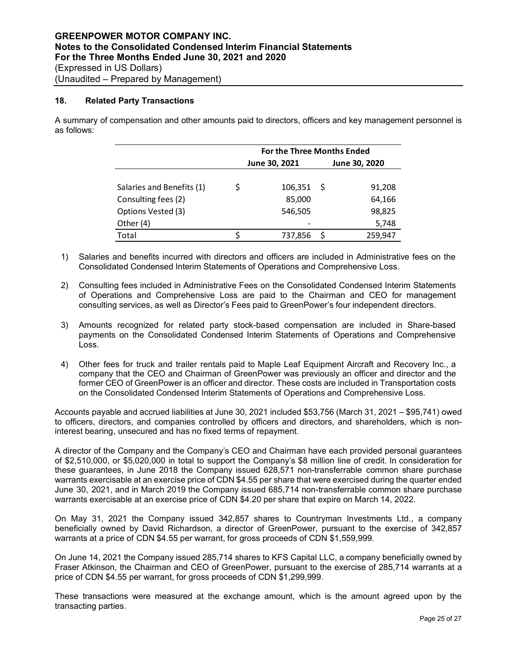## **18. Related Party Transactions**

A summary of compensation and other amounts paid to directors, officers and key management personnel is as follows:

|                           | <b>For the Three Months Ended</b> |               |               |         |  |  |  |  |  |
|---------------------------|-----------------------------------|---------------|---------------|---------|--|--|--|--|--|
|                           |                                   | June 30, 2021 | June 30, 2020 |         |  |  |  |  |  |
|                           |                                   |               |               |         |  |  |  |  |  |
| Salaries and Benefits (1) | Ś                                 | 106,351       | -S            | 91,208  |  |  |  |  |  |
| Consulting fees (2)       |                                   | 85,000        |               | 64,166  |  |  |  |  |  |
| Options Vested (3)        |                                   | 546,505       |               | 98,825  |  |  |  |  |  |
| Other (4)                 |                                   |               |               | 5,748   |  |  |  |  |  |
| Total                     |                                   | 737,856       | Ś             | 259,947 |  |  |  |  |  |

- 1) Salaries and benefits incurred with directors and officers are included in Administrative fees on the Consolidated Condensed Interim Statements of Operations and Comprehensive Loss.
- 2) Consulting fees included in Administrative Fees on the Consolidated Condensed Interim Statements of Operations and Comprehensive Loss are paid to the Chairman and CEO for management consulting services, as well as Director's Fees paid to GreenPower's four independent directors.
- 3) Amounts recognized for related party stock-based compensation are included in Share-based payments on the Consolidated Condensed Interim Statements of Operations and Comprehensive Loss.
- 4) Other fees for truck and trailer rentals paid to Maple Leaf Equipment Aircraft and Recovery Inc., a company that the CEO and Chairman of GreenPower was previously an officer and director and the former CEO of GreenPower is an officer and director. These costs are included in Transportation costs on the Consolidated Condensed Interim Statements of Operations and Comprehensive Loss.

Accounts payable and accrued liabilities at June 30, 2021 included \$53,756 (March 31, 2021 – \$95,741) owed to officers, directors, and companies controlled by officers and directors, and shareholders, which is noninterest bearing, unsecured and has no fixed terms of repayment.

A director of the Company and the Company's CEO and Chairman have each provided personal guarantees of \$2,510,000, or \$5,020,000 in total to support the Company's \$8 million line of credit. In consideration for these guarantees, in June 2018 the Company issued 628,571 non-transferrable common share purchase warrants exercisable at an exercise price of CDN \$4.55 per share that were exercised during the quarter ended June 30, 2021, and in March 2019 the Company issued 685,714 non-transferrable common share purchase warrants exercisable at an exercise price of CDN \$4.20 per share that expire on March 14, 2022.

On May 31, 2021 the Company issued 342,857 shares to Countryman Investments Ltd., a company beneficially owned by David Richardson, a director of GreenPower, pursuant to the exercise of 342,857 warrants at a price of CDN \$4.55 per warrant, for gross proceeds of CDN \$1,559,999.

On June 14, 2021 the Company issued 285,714 shares to KFS Capital LLC, a company beneficially owned by Fraser Atkinson, the Chairman and CEO of GreenPower, pursuant to the exercise of 285,714 warrants at a price of CDN \$4.55 per warrant, for gross proceeds of CDN \$1,299,999.

These transactions were measured at the exchange amount, which is the amount agreed upon by the transacting parties.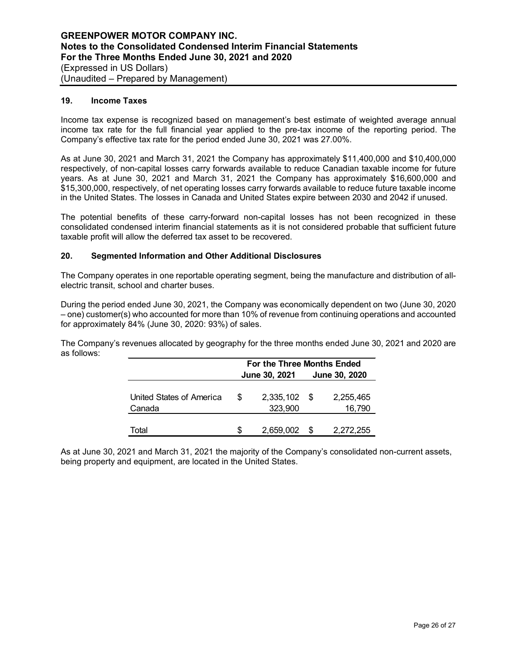#### **19. Income Taxes**

Income tax expense is recognized based on management's best estimate of weighted average annual income tax rate for the full financial year applied to the pre-tax income of the reporting period. The Company's effective tax rate for the period ended June 30, 2021 was 27.00%.

As at June 30, 2021 and March 31, 2021 the Company has approximately \$11,400,000 and \$10,400,000 respectively, of non-capital losses carry forwards available to reduce Canadian taxable income for future years. As at June 30, 2021 and March 31, 2021 the Company has approximately \$16,600,000 and \$15,300,000, respectively, of net operating losses carry forwards available to reduce future taxable income in the United States. The losses in Canada and United States expire between 2030 and 2042 if unused.

The potential benefits of these carry-forward non-capital losses has not been recognized in these consolidated condensed interim financial statements as it is not considered probable that sufficient future taxable profit will allow the deferred tax asset to be recovered.

## **20. Segmented Information and Other Additional Disclosures**

The Company operates in one reportable operating segment, being the manufacture and distribution of allelectric transit, school and charter buses.

During the period ended June 30, 2021, the Company was economically dependent on two (June 30, 2020 – one) customer(s) who accounted for more than 10% of revenue from continuing operations and accounted for approximately 84% (June 30, 2020: 93%) of sales.

The Company's revenues allocated by geography for the three months ended June 30, 2021 and 2020 are as follows:

|                                    | For the Three Months Ended |                           |               |                     |  |  |  |  |  |
|------------------------------------|----------------------------|---------------------------|---------------|---------------------|--|--|--|--|--|
|                                    |                            | <b>June 30, 2021</b>      | June 30, 2020 |                     |  |  |  |  |  |
| United States of America<br>Canada | \$.                        | $2,335,102$ \$<br>323,900 |               | 2,255,465<br>16,790 |  |  |  |  |  |
| Гоtаl                              | S                          | 2,659,002                 |               | 2,272,255           |  |  |  |  |  |

As at June 30, 2021 and March 31, 2021 the majority of the Company's consolidated non-current assets, being property and equipment, are located in the United States.